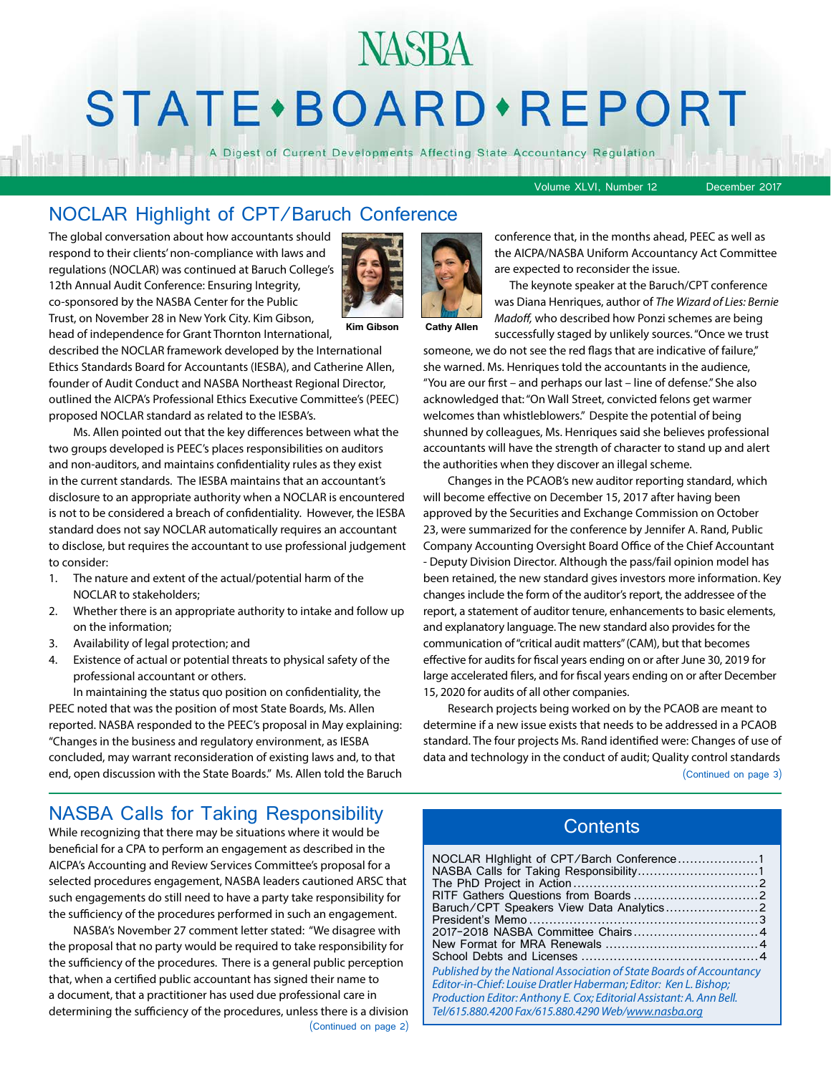# NASBA STATE · BOARD · REPORT

A Digest of Current Developments Affecting State Accountancy Regulation

Volume XLVI, Number 12 December 2017

#### NOCLAR Highlight of CPT/Baruch Conference

The global conversation about how accountants should respond to their clients' non-compliance with laws and regulations (NOCLAR) was continued at Baruch College's 12th Annual Audit Conference: Ensuring Integrity, co-sponsored by the NASBA Center for the Public Trust, on November 28 in New York City. Kim Gibson, head of independence for Grant Thornton International,



**Kim Gibson Cathy Allen**

described the NOCLAR framework developed by the International Ethics Standards Board for Accountants (IESBA), and Catherine Allen, founder of Audit Conduct and NASBA Northeast Regional Director, outlined the AICPA's Professional Ethics Executive Committee's (PEEC) proposed NOCLAR standard as related to the IESBA's.

Ms. Allen pointed out that the key differences between what the two groups developed is PEEC's places responsibilities on auditors and non-auditors, and maintains confidentiality rules as they exist in the current standards. The IESBA maintains that an accountant's disclosure to an appropriate authority when a NOCLAR is encountered is not to be considered a breach of confidentiality. However, the IESBA standard does not say NOCLAR automatically requires an accountant to disclose, but requires the accountant to use professional judgement to consider:

- 1. The nature and extent of the actual/potential harm of the NOCLAR to stakeholders;
- 2. Whether there is an appropriate authority to intake and follow up on the information;
- 3. Availability of legal protection; and
- 4. Existence of actual or potential threats to physical safety of the professional accountant or others.

In maintaining the status quo position on confidentiality, the PEEC noted that was the position of most State Boards, Ms. Allen reported. NASBA responded to the PEEC's proposal in May explaining: "Changes in the business and regulatory environment, as IESBA concluded, may warrant reconsideration of existing laws and, to that end, open discussion with the State Boards." Ms. Allen told the Baruch

conference that, in the months ahead, PEEC as well as the AICPA/NASBA Uniform Accountancy Act Committee are expected to reconsider the issue.

 The keynote speaker at the Baruch/CPT conference was Diana Henriques, author of *The Wizard of Lies: Bernie Madoff,* who described how Ponzi schemes are being successfully staged by unlikely sources. "Once we trust

someone, we do not see the red flags that are indicative of failure," she warned. Ms. Henriques told the accountants in the audience, "You are our first – and perhaps our last – line of defense." She also acknowledged that: "On Wall Street, convicted felons get warmer welcomes than whistleblowers." Despite the potential of being shunned by colleagues, Ms. Henriques said she believes professional accountants will have the strength of character to stand up and alert the authorities when they discover an illegal scheme.

Changes in the PCAOB's new auditor reporting standard, which will become effective on December 15, 2017 after having been approved by the Securities and Exchange Commission on October 23, were summarized for the conference by Jennifer A. Rand, Public Company Accounting Oversight Board Office of the Chief Accountant - Deputy Division Director. Although the pass/fail opinion model has been retained, the new standard gives investors more information. Key changes include the form of the auditor's report, the addressee of the report, a statement of auditor tenure, enhancements to basic elements, and explanatory language. The new standard also provides for the communication of "critical audit matters" (CAM), but that becomes effective for audits for fiscal years ending on or after June 30, 2019 for large accelerated filers, and for fiscal years ending on or after December 15, 2020 for audits of all other companies.

Research projects being worked on by the PCAOB are meant to determine if a new issue exists that needs to be addressed in a PCAOB standard. The four projects Ms. Rand identified were: Changes of use of data and technology in the conduct of audit; Quality control standards (Continued on page 3)

## NASBA Calls for Taking Responsibility<br>While reconizing that there may be situations where it would be

While recognizing that there may be situations where it would be beneficial for a CPA to perform an engagement as described in the AICPA's Accounting and Review Services Committee's proposal for a selected procedures engagement, NASBA leaders cautioned ARSC that such engagements do still need to have a party take responsibility for the sufficiency of the procedures performed in such an engagement.

NASBA's November 27 comment letter stated: "We disagree with the proposal that no party would be required to take responsibility for the sufficiency of the procedures. There is a general public perception that, when a certified public accountant has signed their name to a document, that a practitioner has used due professional care in determining the sufficiency of the procedures, unless there is a division (Continued on page 2)

| NOCLAR Highlight of CPT/Barch Conference1<br>NASBA Calls for Taking Responsibility1                                                                                                                                                                                     |  |
|-------------------------------------------------------------------------------------------------------------------------------------------------------------------------------------------------------------------------------------------------------------------------|--|
|                                                                                                                                                                                                                                                                         |  |
| Baruch/CPT Speakers View Data Analytics2                                                                                                                                                                                                                                |  |
|                                                                                                                                                                                                                                                                         |  |
|                                                                                                                                                                                                                                                                         |  |
|                                                                                                                                                                                                                                                                         |  |
|                                                                                                                                                                                                                                                                         |  |
| Published by the National Association of State Boards of Accountancy<br>Editor-in-Chief: Louise Dratler Haberman; Editor: Ken L. Bishop;<br>Production Editor: Anthony E. Cox; Editorial Assistant: A. Ann Bell.<br>Tel/615.880.4200 Fax/615.880.4290 Web/www.nasba.org |  |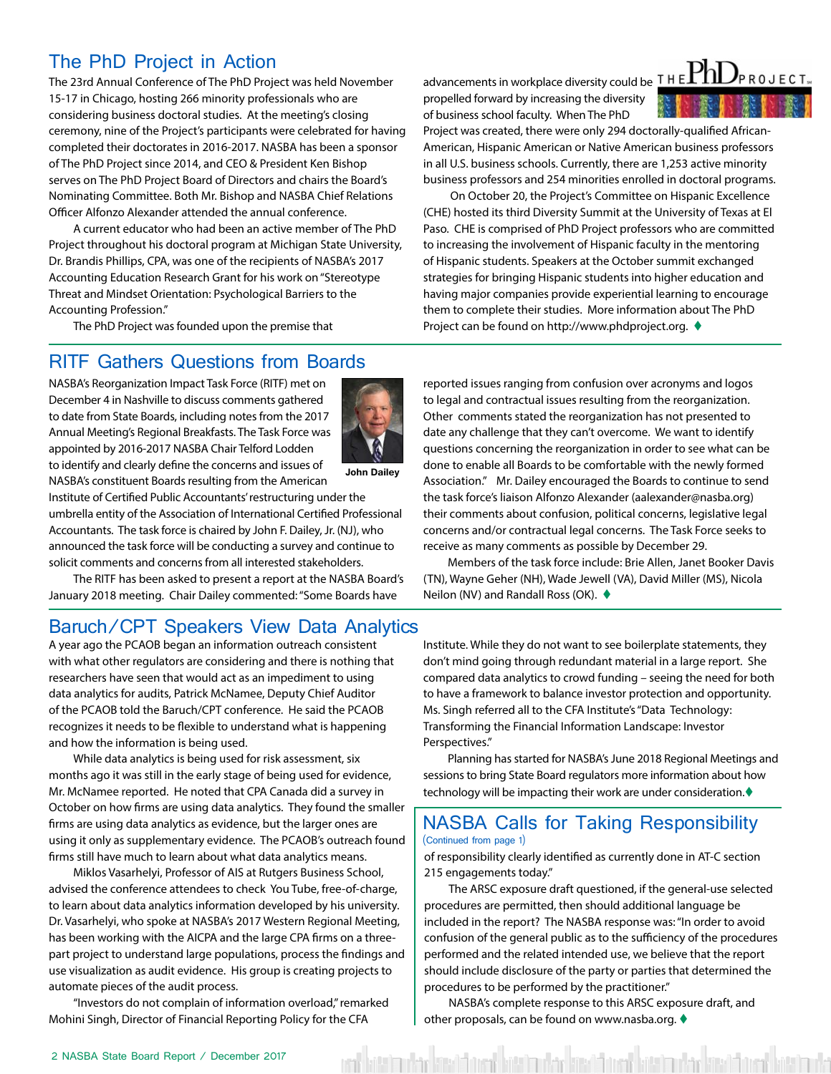#### The PhD Project in Action

The 23rd Annual Conference of The PhD Project was held November 15-17 in Chicago, hosting 266 minority professionals who are considering business doctoral studies. At the meeting's closing ceremony, nine of the Project's participants were celebrated for having completed their doctorates in 2016-2017. NASBA has been a sponsor of The PhD Project since 2014, and CEO & President Ken Bishop serves on The PhD Project Board of Directors and chairs the Board's Nominating Committee. Both Mr. Bishop and NASBA Chief Relations Officer Alfonzo Alexander attended the annual conference.

A current educator who had been an active member of The PhD Project throughout his doctoral program at Michigan State University, Dr. Brandis Phillips, CPA, was one of the recipients of NASBA's 2017 Accounting Education Research Grant for his work on "Stereotype Threat and Mindset Orientation: Psychological Barriers to the Accounting Profession."

The PhD Project was founded upon the premise that

#### RITF Gathers Questions from Boards

NASBA's Reorganization Impact Task Force (RITF) met on December 4 in Nashville to discuss comments gathered to date from State Boards, including notes from the 2017 Annual Meeting's Regional Breakfasts. The Task Force was appointed by 2016-2017 NASBA Chair Telford Lodden to identify and clearly define the concerns and issues of NASBA's constituent Boards resulting from the American



**John Dailey**

Institute of Certified Public Accountants' restructuring under the umbrella entity of the Association of International Certified Professional Accountants. The task force is chaired by John F. Dailey, Jr. (NJ), who announced the task force will be conducting a survey and continue to solicit comments and concerns from all interested stakeholders.

The RITF has been asked to present a report at the NASBA Board's January 2018 meeting. Chair Dailey commented: "Some Boards have

#### Baruch/CPT Speakers View Data Analytics

A year ago the PCAOB began an information outreach consistent with what other regulators are considering and there is nothing that researchers have seen that would act as an impediment to using data analytics for audits, Patrick McNamee, Deputy Chief Auditor of the PCAOB told the Baruch/CPT conference. He said the PCAOB recognizes it needs to be flexible to understand what is happening and how the information is being used.

While data analytics is being used for risk assessment, six months ago it was still in the early stage of being used for evidence, Mr. McNamee reported. He noted that CPA Canada did a survey in October on how firms are using data analytics. They found the smaller firms are using data analytics as evidence, but the larger ones are using it only as supplementary evidence. The PCAOB's outreach found firms still have much to learn about what data analytics means.

Miklos Vasarhelyi, Professor of AIS at Rutgers Business School, advised the conference attendees to check You Tube, free-of-charge, to learn about data analytics information developed by his university. Dr. Vasarhelyi, who spoke at NASBA's 2017 Western Regional Meeting, has been working with the AICPA and the large CPA firms on a threepart project to understand large populations, process the findings and use visualization as audit evidence. His group is creating projects to automate pieces of the audit process.

"Investors do not complain of information overload," remarked Mohini Singh, Director of Financial Reporting Policy for the CFA

propelled forward by increasing the diversity of business school faculty. When The PhD



Project was created, there were only 294 doctorally-qualified African-American, Hispanic American or Native American business professors in all U.S. business schools. Currently, there are 1,253 active minority business professors and 254 minorities enrolled in doctoral programs.

 On October 20, the Project's Committee on Hispanic Excellence (CHE) hosted its third Diversity Summit at the University of Texas at El Paso. CHE is comprised of PhD Project professors who are committed to increasing the involvement of Hispanic faculty in the mentoring of Hispanic students. Speakers at the October summit exchanged strategies for bringing Hispanic students into higher education and having major companies provide experiential learning to encourage them to complete their studies. More information about The PhD Project can be found on http://www.phdproject.org. ♦

reported issues ranging from confusion over acronyms and logos to legal and contractual issues resulting from the reorganization. Other comments stated the reorganization has not presented to date any challenge that they can't overcome. We want to identify questions concerning the reorganization in order to see what can be done to enable all Boards to be comfortable with the newly formed Association." Mr. Dailey encouraged the Boards to continue to send the task force's liaison Alfonzo Alexander (aalexander@nasba.org) their comments about confusion, political concerns, legislative legal concerns and/or contractual legal concerns. The Task Force seeks to receive as many comments as possible by December 29.

Members of the task force include: Brie Allen, Janet Booker Davis (TN), Wayne Geher (NH), Wade Jewell (VA), David Miller (MS), Nicola Neilon (NV) and Randall Ross (OK). ♦

Institute. While they do not want to see boilerplate statements, they don't mind going through redundant material in a large report. She compared data analytics to crowd funding – seeing the need for both to have a framework to balance investor protection and opportunity. Ms. Singh referred all to the CFA Institute's "Data Technology: Transforming the Financial Information Landscape: Investor Perspectives."

Planning has started for NASBA's June 2018 Regional Meetings and sessions to bring State Board regulators more information about how technology will be impacting their work are under consideration. $\blacklozenge$ 

#### NASBA Calls for Taking Responsibility (Continued from page 1)

of responsibility clearly identified as currently done in AT-C section 215 engagements today."

The ARSC exposure draft questioned, if the general-use selected procedures are permitted, then should additional language be included in the report? The NASBA response was: "In order to avoid confusion of the general public as to the sufficiency of the procedures performed and the related intended use, we believe that the report should include disclosure of the party or parties that determined the procedures to be performed by the practitioner."

NASBA's complete response to this ARSC exposure draft, and other proposals, can be found on www.nasba.org.  $\blacklozenge$ 

it burit dividum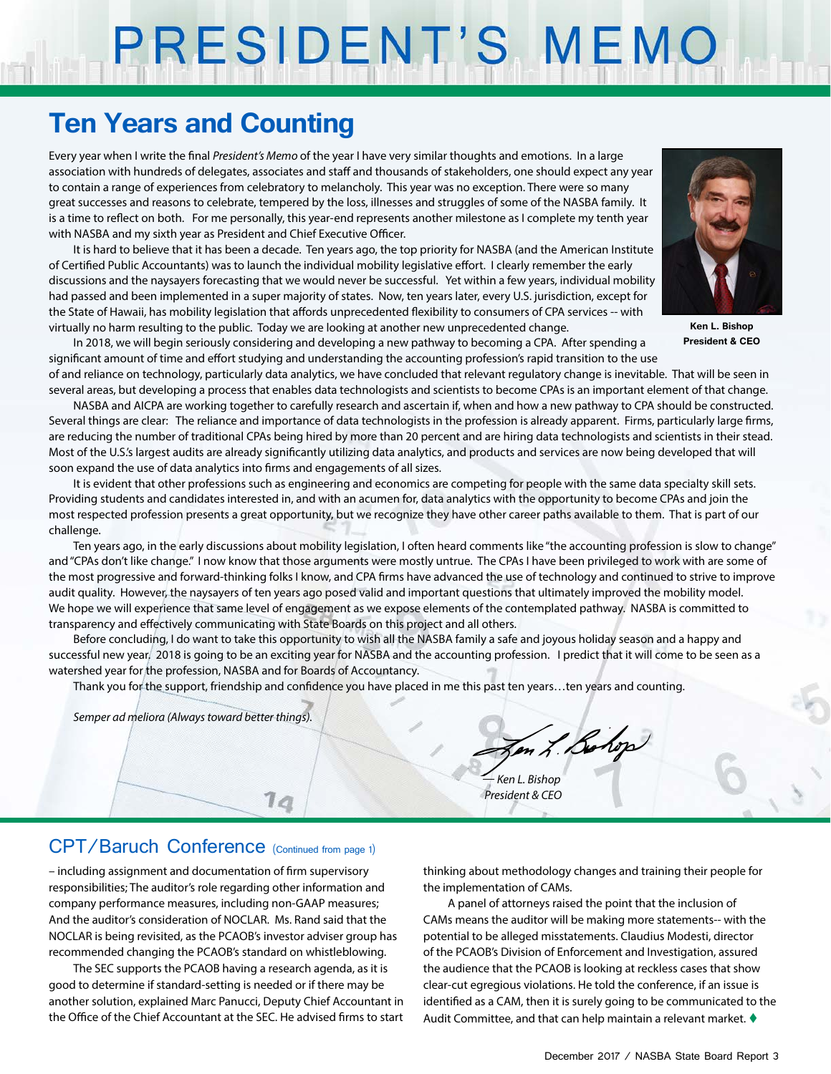# PRESIDENT'S MEMO

## **Ten Years and Counting**

Every year when I write the final *President's Memo* of the year I have very similar thoughts and emotions. In a large association with hundreds of delegates, associates and staff and thousands of stakeholders, one should expect any year to contain a range of experiences from celebratory to melancholy. This year was no exception. There were so many great successes and reasons to celebrate, tempered by the loss, illnesses and struggles of some of the NASBA family. It is a time to reflect on both. For me personally, this year-end represents another milestone as I complete my tenth year with NASBA and my sixth year as President and Chief Executive Officer.

It is hard to believe that it has been a decade. Ten years ago, the top priority for NASBA (and the American Institute of Certified Public Accountants) was to launch the individual mobility legislative effort. I clearly remember the early discussions and the naysayers forecasting that we would never be successful. Yet within a few years, individual mobility had passed and been implemented in a super majority of states. Now, ten years later, every U.S. jurisdiction, except for the State of Hawaii, has mobility legislation that affords unprecedented flexibility to consumers of CPA services -- with virtually no harm resulting to the public. Today we are looking at another new unprecedented change.



**Ken L. Bishop President & CEO**

In 2018, we will begin seriously considering and developing a new pathway to becoming a CPA. After spending a significant amount of time and effort studying and understanding the accounting profession's rapid transition to the use of and reliance on technology, particularly data analytics, we have concluded that relevant regulatory change is inevitable. That will be seen in

several areas, but developing a process that enables data technologists and scientists to become CPAs is an important element of that change. NASBA and AICPA are working together to carefully research and ascertain if, when and how a new pathway to CPA should be constructed. Several things are clear: The reliance and importance of data technologists in the profession is already apparent. Firms, particularly large firms, are reducing the number of traditional CPAs being hired by more than 20 percent and are hiring data technologists and scientists in their stead. Most of the U.S.'s largest audits are already significantly utilizing data analytics, and products and services are now being developed that will soon expand the use of data analytics into firms and engagements of all sizes.

It is evident that other professions such as engineering and economics are competing for people with the same data specialty skill sets. Providing students and candidates interested in, and with an acumen for, data analytics with the opportunity to become CPAs and join the most respected profession presents a great opportunity, but we recognize they have other career paths available to them. That is part of our challenge.

Ten years ago, in the early discussions about mobility legislation, I often heard comments like "the accounting profession is slow to change" and "CPAs don't like change." I now know that those arguments were mostly untrue. The CPAs I have been privileged to work with are some of the most progressive and forward-thinking folks I know, and CPA firms have advanced the use of technology and continued to strive to improve audit quality. However, the naysayers of ten years ago posed valid and important questions that ultimately improved the mobility model. We hope we will experience that same level of engagement as we expose elements of the contemplated pathway. NASBA is committed to transparency and effectively communicating with State Boards on this project and all others.

Before concluding, I do want to take this opportunity to wish all the NASBA family a safe and joyous holiday season and a happy and successful new year. 2018 is going to be an exciting year for NASBA and the accounting profession. I predict that it will come to be seen as a watershed year for the profession, NASBA and for Boards of Accountancy.

Thank you for the support, friendship and confidence you have placed in me this past ten years…ten years and counting.

*Semper ad meliora (Always toward better things).*

Jen L. Bohop

*— Ken L. Bishop President & CEO*

#### CPT/Baruch Conference (Continued from page 1)

– including assignment and documentation of firm supervisory responsibilities; The auditor's role regarding other information and company performance measures, including non-GAAP measures; And the auditor's consideration of NOCLAR. Ms. Rand said that the NOCLAR is being revisited, as the PCAOB's investor adviser group has recommended changing the PCAOB's standard on whistleblowing.

The SEC supports the PCAOB having a research agenda, as it is good to determine if standard-setting is needed or if there may be another solution, explained Marc Panucci, Deputy Chief Accountant in the Office of the Chief Accountant at the SEC. He advised firms to start

thinking about methodology changes and training their people for the implementation of CAMs.

A panel of attorneys raised the point that the inclusion of CAMs means the auditor will be making more statements-- with the potential to be alleged misstatements. Claudius Modesti, director of the PCAOB's Division of Enforcement and Investigation, assured the audience that the PCAOB is looking at reckless cases that show clear-cut egregious violations. He told the conference, if an issue is identified as a CAM, then it is surely going to be communicated to the Audit Committee, and that can help maintain a relevant market.  $\blacklozenge$